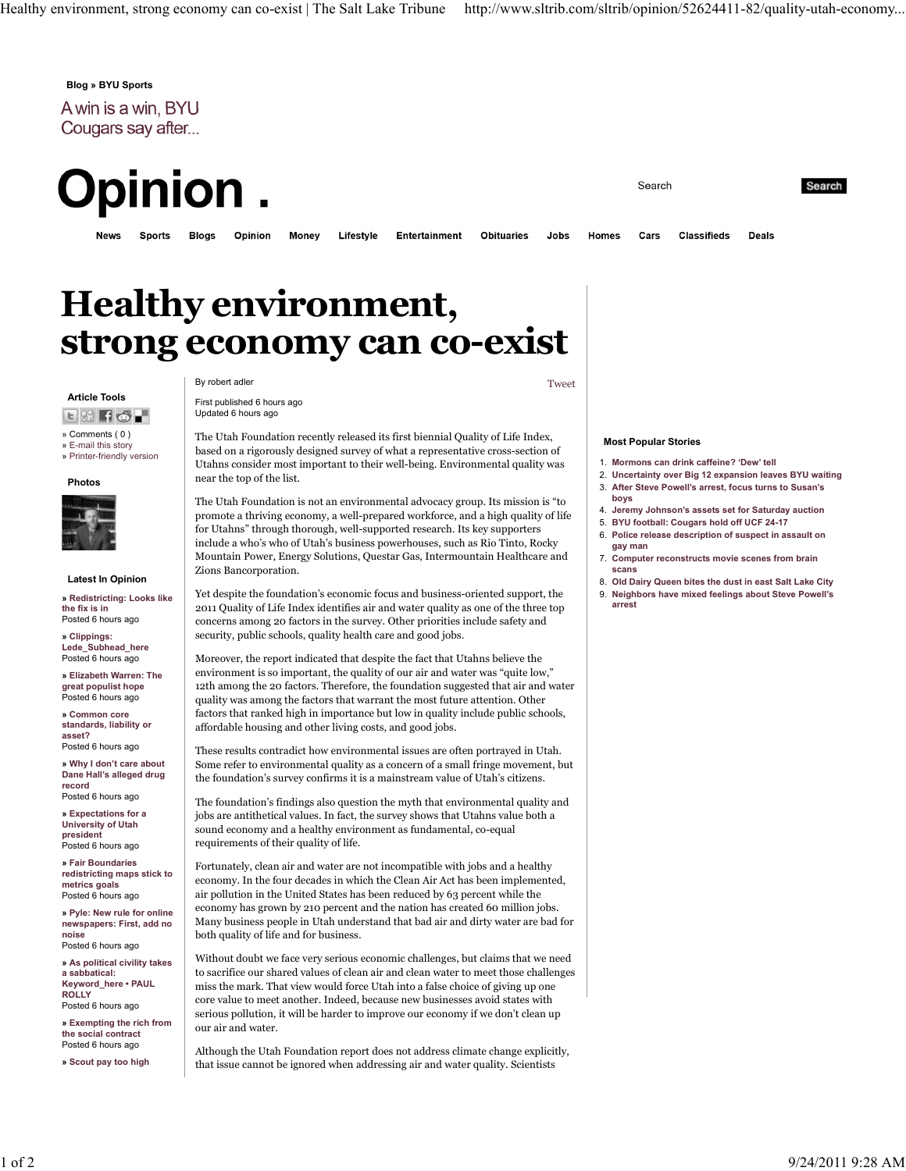Blog » BYU Sports

A win is a win, BYU Cougars say after...

**Opinion** 

**Blogs** 

**News Sports** 

Money Opinion

**Entertainment** 

**Obituaries** 

**Classifieds** Cars

Search

Search

**Deals** 

# Healthy environment, strong economy can co-exist

Lifestyle

#### Article Tools

**ERFO.** 

» Comments ( 0 ) » E-mail this story

» Printer-friendly version

#### Photos



### Latest In Opinion

» Redistricting: Looks like the fix is in Posted 6 hours ago

» Clippings: Lede Subhead here Posted 6 hours ago

» Elizabeth Warren: The great populist hope Posted 6 hours ago » Common core

standards, liability or asset? Posted 6 hours ago

» Why I don't care about Dane Hall's alleged drug record Posted 6 hours ago

» Expectations for a University of Utah president Posted 6 hours ago

» Fair Boundaries redistricting maps stick to metrics goals Posted 6 hours ago

» Pyle: New rule for online newspapers: First, add no noise Posted 6 hours ago

» As political civility takes a sabbatical: Keyword\_here • PAUL **ROLLY** Posted 6 hours ago

» Exempting the rich from the social contract Posted 6 hours ago

» Scout pay too high

By robert adler Tweet

First published 6 hours ago Updated 6 hours ago

The Utah Foundation recently released its first biennial Quality of Life Index, based on a rigorously designed survey of what a representative cross-section of Utahns consider most important to their well-being. Environmental quality was near the top of the list.

The Utah Foundation is not an environmental advocacy group. Its mission is "to promote a thriving economy, a well-prepared workforce, and a high quality of life for Utahns" through thorough, well-supported research. Its key supporters include a who's who of Utah's business powerhouses, such as Rio Tinto, Rocky Mountain Power, Energy Solutions, Questar Gas, Intermountain Healthcare and Zions Bancorporation.

Yet despite the foundation's economic focus and business-oriented support, the 2011 Quality of Life Index identifies air and water quality as one of the three top concerns among 20 factors in the survey. Other priorities include safety and security, public schools, quality health care and good jobs.

Moreover, the report indicated that despite the fact that Utahns believe the environment is so important, the quality of our air and water was "quite low," 12th among the 20 factors. Therefore, the foundation suggested that air and water quality was among the factors that warrant the most future attention. Other factors that ranked high in importance but low in quality include public schools, affordable housing and other living costs, and good jobs.

These results contradict how environmental issues are often portrayed in Utah. Some refer to environmental quality as a concern of a small fringe movement, but the foundation's survey confirms it is a mainstream value of Utah's citizens.

The foundation's findings also question the myth that environmental quality and jobs are antithetical values. In fact, the survey shows that Utahns value both a sound economy and a healthy environment as fundamental, co-equal requirements of their quality of life.

Fortunately, clean air and water are not incompatible with jobs and a healthy economy. In the four decades in which the Clean Air Act has been implemented, air pollution in the United States has been reduced by 63 percent while the economy has grown by 210 percent and the nation has created 60 million jobs. Many business people in Utah understand that bad air and dirty water are bad for both quality of life and for business.

Without doubt we face very serious economic challenges, but claims that we need to sacrifice our shared values of clean air and clean water to meet those challenges miss the mark. That view would force Utah into a false choice of giving up one core value to meet another. Indeed, because new businesses avoid states with serious pollution, it will be harder to improve our economy if we don't clean up our air and water.

Although the Utah Foundation report does not address climate change explicitly, that issue cannot be ignored when addressing air and water quality. Scientists

Jobs

Homes

## Most Popular Stories

- 1. Mormons can drink caffeine? 'Dew' tell
- 2. Uncertainty over Big 12 expansion leaves BYU waiting 3. After Steve Powell's arrest, focus turns to Susan's
- boys 4. Jeremy Johnson's assets set for Saturday auction
- 5. BYU football: Cougars hold off UCF 24-17
- 6. Police release description of suspect in assault on
- gay man 7. Computer reconstructs movie scenes from brain
- scans 8. Old Dairy Queen bites the dust in east Salt Lake City
- 9. Neighbors have mixed feelings about Steve Powell's arrest